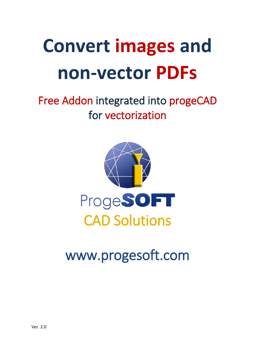# **Convert images and non-vector PDFs**

## Free Addon integrated into progeCAD for vectorization



# [www.progesoft.com](http://www.progecad.com/)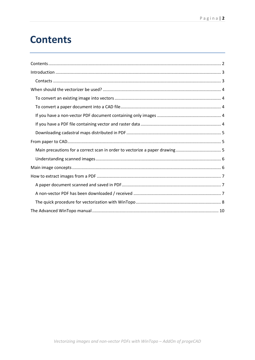### <span id="page-1-0"></span>**Contents**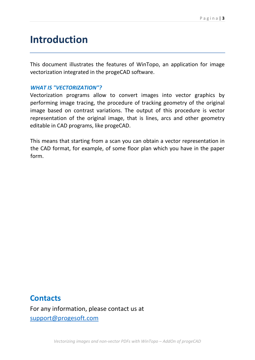### <span id="page-2-0"></span>**Introduction**

This document illustrates the features of WinTopo, an application for image vectorization integrated in the progeCAD software.

#### *WHAT IS "VECTORIZATION"?*

Vectorization programs allow to convert images into vector graphics by performing image tracing, the procedure of tracking geometry of the original image based on contrast variations. The output of this procedure is vector representation of the original image, that is lines, arcs and other geometry editable in CAD programs, like progeCAD.

This means that starting from a scan you can obtain a vector representation in the CAD format, for example, of some floor plan which you have in the paper form.

### <span id="page-2-1"></span>**Contacts**

For any information, please contact us at [support@progesoft.com](mailto:support@progesoft.com)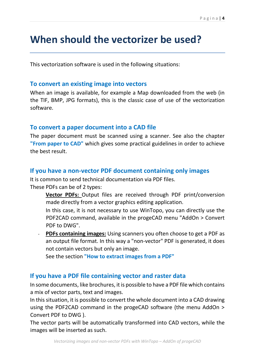### <span id="page-3-0"></span>**When should the vectorizer be used?**

This vectorization software is used in the following situations:

#### <span id="page-3-1"></span>**To convert an existing image into vectors**

When an image is available, for example a Map downloaded from the web (in the TIF, BMP, JPG formats), this is the classic case of use of the vectorization software.

#### <span id="page-3-2"></span>**To convert a paper document into a CAD file**

The paper document must be scanned using a scanner. See also the chapter **"From paper to CAD"** which gives some practical guidelines in order to achieve the best result.

#### <span id="page-3-3"></span>**If you have a non-vector PDF document containing only images**

It is common to send technical documentation via PDF files. These PDFs can be of 2 types:

- **Vector PDFs:** Output files are received through PDF print/conversion made directly from a vector graphics editing application.
- In this case, it is not necessary to use WinTopo, you can directly use the PDF2CAD command, available in the progeCAD menu "AddOn > Convert PDF to DWG".
- **PDFs containing images:** Using scanners you often choose to get a PDF as an output file format. In this way a "non-vector" PDF is generated, it does not contain vectors but only an image.

See the section **"How to extract images from a PDF"**

#### <span id="page-3-4"></span>**If you have a PDF file containing vector and raster data**

In some documents, like brochures, it is possible to have a PDF file which contains a mix of vector parts, text and images.

In this situation, it is possible to convert the whole document into a CAD drawing using the PDF2CAD command in the progeCAD software (the menu AddOn > Convert PDF to DWG ).

The vector parts will be automatically transformed into CAD vectors, while the images will be inserted as such.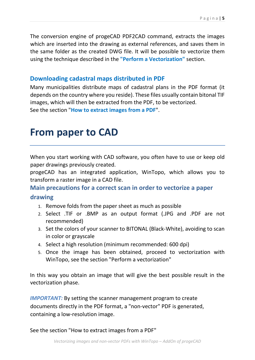The conversion engine of progeCAD PDF2CAD command, extracts the images which are inserted into the drawing as external references, and saves them in the same folder as the created DWG file. It will be possible to vectorize them using the technique described in the **"Perform a Vectorization"** section.

### <span id="page-4-0"></span>**Downloading cadastral maps distributed in PDF**

Many municipalities distribute maps of cadastral plans in the PDF format (it depends on the country where you reside). These files usually contain bitonal TIF images, which will then be extracted from the PDF, to be vectorized. See the section "**How to extract images from a PDF**".

### <span id="page-4-1"></span>**From paper to CAD**

When you start working with CAD software, you often have to use or keep old paper drawings previously created.

progeCAD has an integrated application, WinTopo, which allows you to transform a raster image in a CAD file.

### <span id="page-4-2"></span>**Main precautions for a correct scan in order to vectorize a paper**

#### **drawing**

- 1. Remove folds from the paper sheet as much as possible
- 2. Select .TIF or .BMP as an output format (.JPG and .PDF are not recommended)
- 3. Set the colors of your scanner to BITONAL (Black-White), avoiding to scan in color or grayscale
- 4. Select a high resolution (minimum recommended: 600 dpi)
- 5. Once the image has been obtained, proceed to vectorization with WinTopo, see the section "Perform a vectorization"

In this way you obtain an image that will give the best possible result in the vectorization phase.

*IMPORTANT:* By setting the scanner management program to create documents directly in the PDF format, a "non-vector" PDF is generated, containing a low-resolution image.

See the section "How to extract images from a PDF"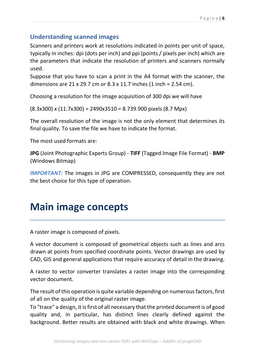### <span id="page-5-0"></span>**Understanding scanned images**

Scanners and printers work at resolutions indicated in points per unit of space, typically in inches: dpi (dots per inch) and ppi (points / pixels per inch) which are the parameters that indicate the resolution of printers and scanners normally used.

Suppose that you have to scan a print in the A4 format with the scanner, the dimensions are 21 x 29.7 cm or 8.3 x 11.7 inches (1 inch = 2.54 cm).

Choosing a resolution for the image acquisition of 300 dpi we will have

 $(8.3x300)$  x  $(11.7x300)$  = 2490x3510 = 8.739.900 pixels  $(8.7$  Mpx)

The overall resolution of the image is not the only element that determines its final quality. To save the file we have to indicate the format.

The most used formats are:

**JPG** (Joint Photographic Experts Group) - **TIFF** (Tagged Image File Format) - **BMP** (Windows Bitmap)

*IMPORTANT:* The images in JPG are COMPRESSED, consequently they are not the best choice for this type of operation.

### <span id="page-5-1"></span>**Main image concepts**

A raster image is composed of pixels.

A vector document is composed of geometrical objects such as lines and arcs drawn at points from specified coordinate points. Vector drawings are used by CAD, GIS and general applications that require accuracy of detail in the drawing.

A raster to vector converter translates a raster image into the corresponding vector document.

The result of this operation is quite variable depending on numerous factors, first of all on the quality of the original raster image.

To "trace" a design, it is first of all necessary that the printed document is of good quality and, in particular, has distinct lines clearly defined against the background. Better results are obtained with black and white drawings. When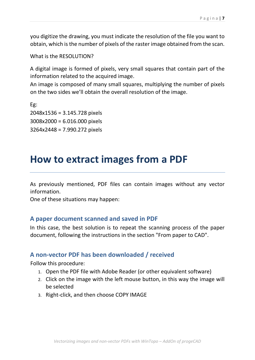you digitize the drawing, you must indicate the resolution of the file you want to obtain, which is the number of pixels of the raster image obtained from the scan.

What is the RESOLUTION?

A digital image is formed of pixels, very small squares that contain part of the information related to the acquired image.

An image is composed of many small squares, multiplying the number of pixels on the two sides we'll obtain the overall resolution of the image.

Eg: 2048x1536 = 3.145.728 pixels 3008x2000 = 6.016.000 pixels 3264x2448 = 7.990.272 pixels

### <span id="page-6-0"></span>**How to extract images from a PDF**

As previously mentioned, PDF files can contain images without any vector information.

One of these situations may happen:

#### <span id="page-6-1"></span>**A paper document scanned and saved in PDF**

In this case, the best solution is to repeat the scanning process of the paper document, following the instructions in the section "From paper to CAD".

#### <span id="page-6-2"></span>**A non-vector PDF has been downloaded / received**

Follow this procedure:

- 1. Open the PDF file with Adobe Reader (or other equivalent software)
- 2. Click on the image with the left mouse button, in this way the image will be selected
- 3. Right-click, and then choose COPY IMAGE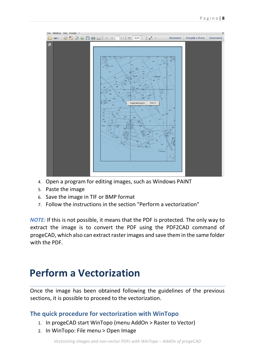

- 4. Open a program for editing images, such as Windows PAINT
- 5. Paste the image
- 6. Save the image in TIF or BMP format
- 7. Follow the instructions in the section "Perform a vectorization"

*NOTE:* If this is not possible, it means that the PDF is protected. The only way to extract the image is to convert the PDF using the PDF2CAD command of progeCAD, which also can extract raster images and save them in the same folder with the PDF.

### **Perform a Vectorization**

Once the image has been obtained following the guidelines of the previous sections, it is possible to proceed to the vectorization.

### <span id="page-7-0"></span>**The quick procedure for vectorization with WinTopo**

- 1. In progeCAD start WinTopo (menu AddOn > Raster to Vector)
- 2. In WinTopo: File menu > Open Image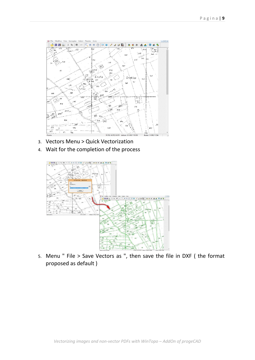

- 3. Vectors Menu > Quick Vectorization
- 4. Wait for the completion of the process



5. Menu " File > Save Vectors as ", then save the file in DXF ( the format proposed as default )